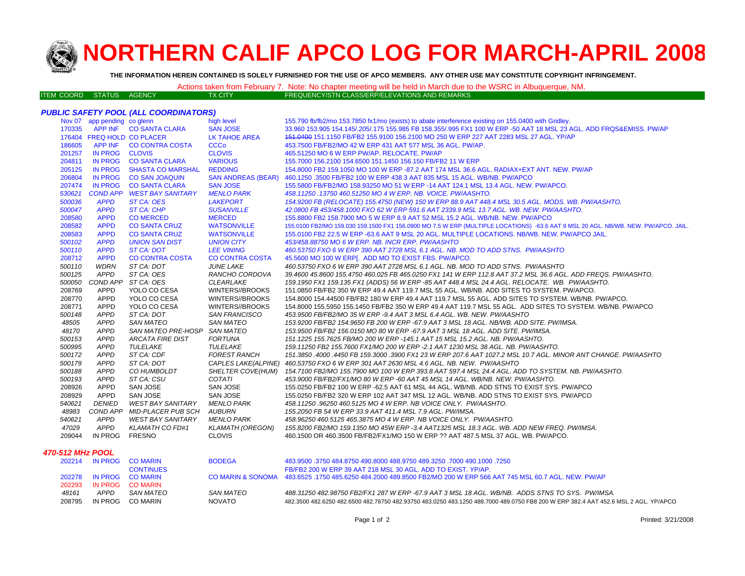

# **NORTHERN CALIF APCO LOG FOR MARCH-APRIL 200 8**

**THE INFORMATION HEREIN CONTAINED IS SOLELY FURNISHED FOR THE USE OF APCO MEMBERS. ANY OTHER USE MAY CONSTITUTE COPYRIGHT INFRINGEMENT.**

|                          |  |                | Actions taken from February 7. Note: No chapter meeting will be held in March due to the WSRC in Albuquerque, NM. |  |
|--------------------------|--|----------------|-------------------------------------------------------------------------------------------------------------------|--|
| ITEM COORD STATUS AGENCY |  | <b>TX CITY</b> | FREQUENCY/STN CLASS/ERP/ELEVATIONS AND REMARKS \                                                                  |  |

## *PUBLIC SAFETY POOL (ALL COORDINATORS)*

|        | Nov 07 app pending co glenn |                              | high level             | 155.790 fb/fb2/mo 153.7850 fx1/mo (exists) to abate interference existing on 155.0400 with Gridley.                               |
|--------|-----------------------------|------------------------------|------------------------|-----------------------------------------------------------------------------------------------------------------------------------|
| 170335 |                             | APP INF CO SANTA CLARA       | <b>SAN JOSE</b>        | 33,960 153,905 154,145/.205/.175 155,985 FB 158,355/.995 FX1 100 W ERP -50 AAT 18 MSL 23 AGL, ADD FRQS&EMISS, PW/AP               |
|        | 176404 FREQ HOLD CO PLACER  |                              | LK TAHOE AREA          | 151.0400 151.1150 FB/FB2 155.9100 156.2100 MO 250 W ERP 227 AAT 2283 MSL 27 AGL. YP/AP                                            |
| 186605 |                             | APP INF CO CONTRA COSTA      | <b>CCCo</b>            | 453.7500 FB/FB2/MO 42 W ERP 431 AAT 577 MSL 36 AGL. PW/AP.                                                                        |
| 201257 | IN PROG CLOVIS              |                              | <b>CLOVIS</b>          | 465.51250 MO 6 W ERP PW/AP. RELOCATE, PW/AP                                                                                       |
| 204811 | <b>IN PROG</b>              | <b>CO SANTA CLARA</b>        | <b>VARIOUS</b>         | 155,7000 156,2100 154,6500 151,1450 156,150 FB/FB2 11 W ERP                                                                       |
| 205125 | <b>IN PROG</b>              | SHASTA CO MARSHAL            | <b>REDDING</b>         | 154.8000 FB2 159.1050 MO 100 W ERP -87.2 AAT 174 MSL 36.6 AGL. RADIAX+EXT ANT. NEW. PW/AP                                         |
| 206804 | <b>IN PROG</b>              | <b>CO SAN JOAQUIN</b>        |                        | SAN ANDREAS (BEAR) 460.1250 .3500 FB/FB2 100 W ERP 438.3 AAT 835 MSL 15 AGL. WB/NB. PW/APCO                                       |
| 207474 | <b>IN PROG</b>              | <b>CO SANTA CLARA</b>        | <b>SAN JOSE</b>        | 155.5800 FB/FB2/MO 158.93250 MO 51 W ERP -14 AAT 124.1 MSL 13.4 AGL. NEW. PW/APCO.                                                |
| 530621 |                             | COND APP WEST BAY SANITARY   | <b>MENLO PARK</b>      | 458.11250.13750 460.51250 MO 4 W ERP. NB. VOICE. PW/AASHTO.                                                                       |
| 500036 | <b>APPD</b>                 | ST CA: OES                   | <b>LAKEPORT</b>        | 154.9200 FB (RELOCATE) 155.4750 (NEW) 150 W ERP 88.9 AAT 448.4 MSL 30.5 AGL. MODS. WB. PW/AASHTO.                                 |
| 500047 | <b>APPD</b>                 | ST CA: CHP                   | <b>SUSANVILLE</b>      | 42.0800 FB 453/458.1000 FXO 62 W ERP 591.6 AAT 2339.9 MSL 13.7 AGL, WB, NEW, PW/AASHTO,                                           |
| 208580 | <b>APPD</b>                 | <b>CO MERCED</b>             | <b>MERCED</b>          | 155,8800 FB2 158,7900 MO 5 W ERP 8.9 AAT 52 MSL 15.2 AGL. WB/NB, NEW, PW/APCO                                                     |
| 208582 | <b>APPD</b>                 | <b>CO SANTA CRUZ</b>         | <b>WATSONVILLE</b>     | 155.0100 FB2/MO 159.030 159.1500 FX1 156.0900 MO 7.5 W ERP (MULTIPLE LOCATIONS) -63.6 AAT 9 MSL 20 AGL. NB/WB. NEW. PW/APCO. JAIL |
| 208583 | <b>APPD</b>                 | <b>CO SANTA CRUZ</b>         | <b>WATSONVILLE</b>     | 155.0100 FB2 22.5 W ERP -63.6 AAT 9 MSL 20 AGL. MULTIPLE LOCATIONS. NB/WB. NEW. PW/APCO JAIL.                                     |
| 500102 | <b>APPD</b>                 | <b>UNION SAN DIST</b>        | <b>UNION CITY</b>      | 453/458.88750 MO 6 W ERP. NB. INCR ERP. PW/AASHTO                                                                                 |
| 500110 | <b>APPD</b>                 | ST CA: DOT                   | <b>LEE VINING</b>      | 460.53750 FXO 6 W ERP 390 AAT 2728 MSL 6.1 AGL. NB. MOD TO ADD STNS. PW/AASHTO                                                    |
| 208712 | <b>APPD</b>                 | <b>CO CONTRA COSTA</b>       | <b>CO CONTRA COSTA</b> | 45.5600 MO 100 W ERP[. ADD MO TO EXIST FBS. PW/APCO.                                                                              |
| 500110 | <b>WDRN</b>                 | ST CA: DOT                   | <b>JUNE LAKE</b>       | 460.53750 FXO 6 W ERP 390 AAT 2728 MSL 6.1 AGL. NB. MOD TO ADD STNS. PW/AASHTO                                                    |
| 500125 | APPD                        | ST CA: OES                   | RANCHO CORDOVA         | 39.4600 45.8600 155.4750 460.025 FB 465.0250 FX1 141 W ERP 112.8 AAT 37.2 MSL 36.6 AGL. ADD FREQS. PW/AASHTO.                     |
| 500050 |                             | COND APP ST CA: OES          | <b>CLEARLAKE</b>       | 159.1950 FX1 159.135 FX1 (ADDS) 56 W ERP -85 AAT 448.4 MSL 24.4 AGL. RELOCATE. WB. PW/AASHTO.                                     |
| 208769 | APPD                        | YOLO CO CESA                 | WINTERS//BROOKS        | 151.0850 FB/FB2 350 W ERP 49.4 AAT 119.7 MSL 55 AGL. WB/NB. ADD SITES TO SYSTEM. PW/APCO.                                         |
| 208770 | APPD                        | YOLO CO CESA                 | WINTERS//BROOKS        | 154.8000 154.44500 FB/FB2 180 W ERP 49.4 AAT 119.7 MSL 55 AGL. ADD SITES TO SYSTEM. WB/NB. PW/APCO.                               |
| 208771 | <b>APPD</b>                 | YOLO CO CESA                 | WINTERS//BROOKS        | 154.8000 155.5950 155.1450 FB/FB2 350 W ERP 49.4 AAT 119.7 MSL 55 AGL. ADD SITES TO SYSTEM. WB/NB, PW/APCO                        |
| 500148 | <b>APPD</b>                 | ST CA: DOT                   | <b>SAN FRANCISCO</b>   | 453.9500 FB/FB2/MO 35 W ERP -9.4 AAT 3 MSL 6.4 AGL. WB. NEW. PW/AASHTO                                                            |
| 48505  | <b>APPD</b>                 | <b>SAN MATEO</b>             | <b>SAN MATEO</b>       | 153.9200 FB/FB2 154.9650 FB 200 W ERP -67.9 AAT 3 MSL 18 AGL. NB/WB. ADD SITE. PW/IMSA.                                           |
| 48170  | <b>APPD</b>                 | SAN MATEO PRE-HOSP SAN MATEO |                        | 153.9500 FB/FB2 156.0150 MO 80 W ERP -67.9 AAT 3 MSL 18 AGL. ADD SITE. PW/IMSA.                                                   |
| 500153 | <b>APPD</b>                 | <b>ARCATA FIRE DIST</b>      | <b>FORTUNA</b>         | 151.1225 155.7625 FB/MO 200 W ERP -145.1 AAT 15 MSL 15.2 AGL. NB. PW/AASHTO.                                                      |
| 500995 | <b>APPD</b>                 | TULELAKE                     | TULELAKE               | 159.11250 FB2 155.7600 FX1/MO 200 W ERP -2.1 AAT 1230 MSL 38 AGL. NB. PW/AASHTO.                                                  |
| 500172 | <b>APPD</b>                 | ST CA: CDF                   | <b>FOREST RANCH</b>    | 151.3850 .4000 .4450 FB 159.3000 .3900 FX1 23 W ERP 207.6 AAT 1027.2 MSL 10.7 AGL. MINOR ANT CHANGE. PW/AASHTO                    |
| 500179 | <b>APPD</b>                 | ST CA: DOT                   |                        | CAPLES LAKE(ALPINE) 460.53750 FXO 6 W ERP 301 AAT 2630 MSL 4.6 AGL. NB. NEW. PW/AASHTO                                            |
| 500188 | <b>APPD</b>                 | CO HUMBOLDT                  | SHELTER COVE(HUM)      | 154.7100 FB2/MO 155.7900 MO 100 W ERP 393.8 AAT 597.4 MSL 24.4 AGL. ADD TO SYSTEM. NB. PW/AASHTO.                                 |
| 500193 | <b>APPD</b>                 | ST CA: CSU                   | COTATI                 | 453.9000 FB/FB2/FX1/MO 80 W ERP -60 AAT 45 MSL 14 AGL. WB/NB. NEW. PW/AASHTO.                                                     |
| 208926 | APPD                        | SAN JOSE                     | SAN JOSE               | 155.0250 FB/FB2 100 W ERP -62.5 AAT 61 MSL 44 AGL. WB/NB. ADD STNS TO EXIST SYS. PW/APCO                                          |
| 208929 | APPD                        | <b>SAN JOSE</b>              | SAN JOSE               | 155.0250 FB/FB2 320 W ERP 102 AAT 347 MSL 12 AGL. WB/NB. ADD STNS TO EXIST SYS. PW/APCO                                           |
| 540621 | <b>DENIED</b>               | WEST BAY SANITARY            | <b>MENLO PARK</b>      | 458.11250.96250.460.5125 MO 4 W ERP. NB VOICE ONLY. PW/AASHTO.                                                                    |
| 48983  |                             | COND APP MID-PLACER PUB SCH  | AUBURN                 | 155.2050 FB 54 W ERP 33.9 AAT 411.4 MSL 7.9 AGL. PW/IMSA.                                                                         |
| 540621 | APPD                        | WEST BAY SANITARY            | <b>MENLO PARK</b>      | 458.96250 460.5125 465.3875 MO 4 W ERP. NB VOICE ONLY. PW/AASHTO.                                                                 |
| 47029  | APPD                        | KLAMATH CO FD#1              | KLAMATH (OREGON)       | 155.8200 FB2/MO 159.1350 MO 45W ERP -3.4 AAT1325 MSL 18.3 AGL. WB. ADD NEW FREQ. PW/IMSA.                                         |
| 209044 | IN PROG FRESNO              |                              | <b>CLOVIS</b>          | 460.1500 OR 460.3500 FB/FB2/FX1/MO 150 W ERP ?? AAT 487.5 MSL 37 AGL. WB. PW/APCO.                                                |
|        |                             |                              |                        |                                                                                                                                   |

#### *470-512 MHz POOL*

| 202214 |      | IN PROG CO MARIN | <b>BODEGA</b> | 483.9500 .3750 484.8750 490.8000 488.9750 489.3250 .7000 490.1000 .7250                                                             |
|--------|------|------------------|---------------|-------------------------------------------------------------------------------------------------------------------------------------|
|        |      | <b>CONTINUES</b> |               | FB/FB2 200 W ERP 39 AAT 218 MSL 30 AGL. ADD TO EXIST, YP/AP.                                                                        |
| 202278 |      | IN PROG CO MARIN |               | CO MARIN & SONOMA 483.6525 .1750 485.6250 484.2000 489.8500 FB2/MO 200 W ERP 566 AAT 745 MSL 60.7 AGL. NEW. PW/AP                   |
| 202293 |      | IN PROG CO MARIN |               |                                                                                                                                     |
| 48161  | APPD | SAN MATEO        | SAN MATEO     | 488.31250 482.98750 FB2/FX1 287 W ERP -67.9 AAT 3 MSL 18 AGL, WB/NB, ADDS STNS TO SYS, PW/IMSA.                                     |
| 208795 |      | IN PROG COMARIN  | <b>NOVATO</b> | 482.3500 482.6250 482.6500 482.78750 482.93750 483.0250 483.1250 488.7000 489.0750 FB8 200 W ERP 382.4 AAT 452.6 MSL 2 AGL. YP/APCO |